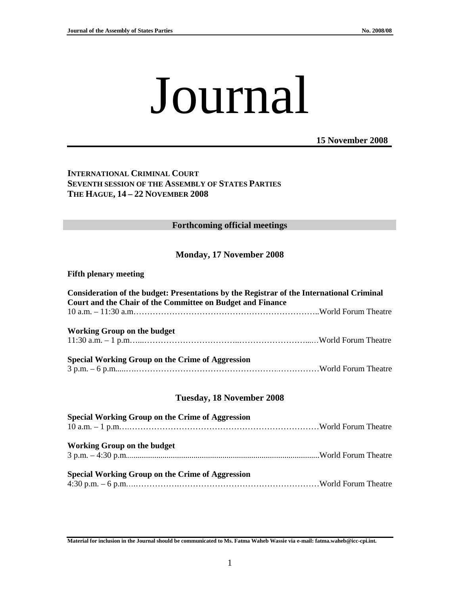# Journal

**15 November 2008**

#### **INTERNATIONAL CRIMINAL COURT SEVENTH SESSION OF THE ASSEMBLY OF STATES PARTIES THE HAGUE, 14 – 22 NOVEMBER 2008**

#### **Forthcoming official meetings**

#### **Monday, 17 November 2008**

#### **Fifth plenary meeting**

| Consideration of the budget: Presentations by the Registrar of the International Criminal<br>Court and the Chair of the Committee on Budget and Finance |  |
|---------------------------------------------------------------------------------------------------------------------------------------------------------|--|
|                                                                                                                                                         |  |
| <b>Working Group on the budget</b>                                                                                                                      |  |
| Special Working Group on the Crime of Aggression                                                                                                        |  |

#### **Tuesday, 18 November 2008**

| <b>Special Working Group on the Crime of Aggression</b> |  |
|---------------------------------------------------------|--|
| <b>Working Group on the budget</b>                      |  |
| Special Working Group on the Crime of Aggression        |  |

**Material for inclusion in the Journal should be communicated to Ms. Fatma Waheb Wassie via e-mail: fatma.waheb@icc-cpi.int.**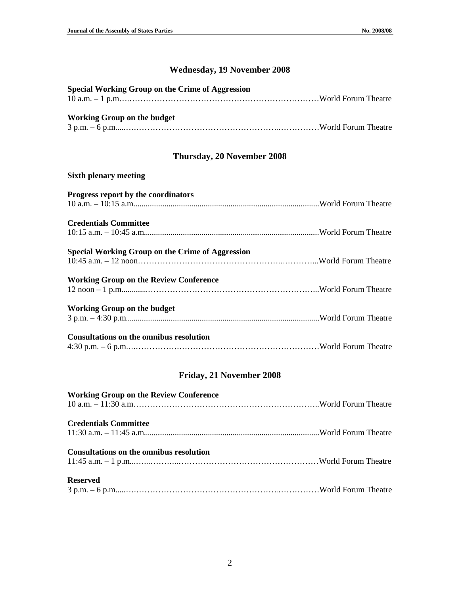### **Wednesday, 19 November 2008**

| Special Working Group on the Crime of Aggression |  |
|--------------------------------------------------|--|
|                                                  |  |
|                                                  |  |
| <b>Working Group on the budget</b>               |  |
|                                                  |  |

# **Thursday, 20 November 2008**

### **Sixth plenary meeting**

| Progress report by the coordinators                     |  |
|---------------------------------------------------------|--|
| <b>Credentials Committee</b>                            |  |
|                                                         |  |
| <b>Special Working Group on the Crime of Aggression</b> |  |
| <b>Working Group on the Review Conference</b>           |  |
| <b>Working Group on the budget</b>                      |  |
| <b>Consultations on the omnibus resolution</b>          |  |

## **Friday, 21 November 2008**

| <b>Working Group on the Review Conference</b>  |  |
|------------------------------------------------|--|
| <b>Credentials Committee</b>                   |  |
| <b>Consultations on the omnibus resolution</b> |  |
| <b>Reserved</b>                                |  |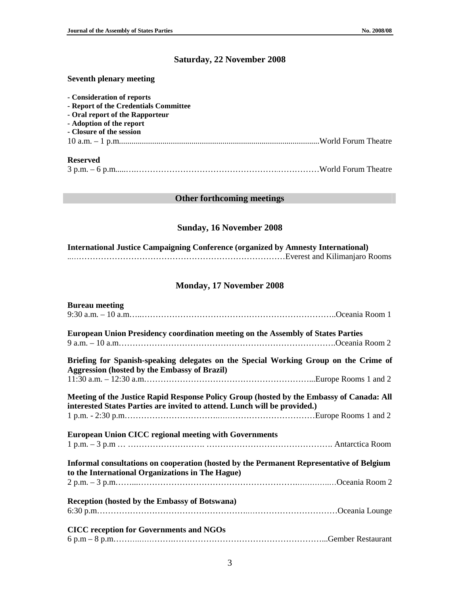# **Saturday, 22 November 2008**

#### **Seventh plenary meeting**

| - Consideration of reports<br>- Report of the Credentials Committee |  |
|---------------------------------------------------------------------|--|
| - Oral report of the Rapporteur                                     |  |
| - Adoption of the report                                            |  |
| - Closure of the session                                            |  |
|                                                                     |  |
| <b>Reserved</b>                                                     |  |
|                                                                     |  |

### **Other forthcoming meetings**

#### **Sunday, 16 November 2008**

| <b>International Justice Campaigning Conference (organized by Amnesty International)</b> |  |
|------------------------------------------------------------------------------------------|--|
|                                                                                          |  |

#### **Monday, 17 November 2008**

| <b>Bureau meeting</b>                                                                                                                                                 |  |  |
|-----------------------------------------------------------------------------------------------------------------------------------------------------------------------|--|--|
| European Union Presidency coordination meeting on the Assembly of States Parties                                                                                      |  |  |
| Briefing for Spanish-speaking delegates on the Special Working Group on the Crime of                                                                                  |  |  |
| <b>Aggression (hosted by the Embassy of Brazil)</b>                                                                                                                   |  |  |
| Meeting of the Justice Rapid Response Policy Group (hosted by the Embassy of Canada: All<br>interested States Parties are invited to attend. Lunch will be provided.) |  |  |
| <b>European Union CICC regional meeting with Governments</b>                                                                                                          |  |  |
| Informal consultations on cooperation (hosted by the Permanent Representative of Belgium<br>to the International Organizations in The Hague)                          |  |  |
|                                                                                                                                                                       |  |  |
| <b>Reception (hosted by the Embassy of Botswana)</b>                                                                                                                  |  |  |
| <b>CICC</b> reception for Governments and NGOs                                                                                                                        |  |  |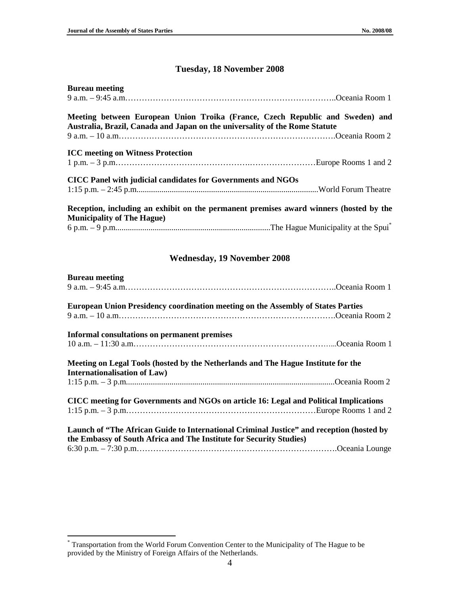# **Tuesday, 18 November 2008**

| <b>Bureau</b> meeting                                                                                                                                        |  |
|--------------------------------------------------------------------------------------------------------------------------------------------------------------|--|
|                                                                                                                                                              |  |
| Meeting between European Union Troika (France, Czech Republic and Sweden) and<br>Australia, Brazil, Canada and Japan on the universality of the Rome Statute |  |
|                                                                                                                                                              |  |
| <b>ICC</b> meeting on Witness Protection                                                                                                                     |  |
| CICC Panel with judicial candidates for Governments and NGOs                                                                                                 |  |
|                                                                                                                                                              |  |
| Reception, including an exhibit on the permanent premises award winners (hosted by the<br><b>Municipality of The Hague)</b>                                  |  |
|                                                                                                                                                              |  |

## **Wednesday, 19 November 2008**

| <b>Bureau meeting</b>                                                                                                                                           |  |
|-----------------------------------------------------------------------------------------------------------------------------------------------------------------|--|
|                                                                                                                                                                 |  |
| <b>European Union Presidency coordination meeting on the Assembly of States Parties</b>                                                                         |  |
|                                                                                                                                                                 |  |
| Informal consultations on permanent premises                                                                                                                    |  |
|                                                                                                                                                                 |  |
| Meeting on Legal Tools (hosted by the Netherlands and The Hague Institute for the<br><b>Internationalisation of Law)</b>                                        |  |
|                                                                                                                                                                 |  |
| CICC meeting for Governments and NGOs on article 16: Legal and Political Implications                                                                           |  |
|                                                                                                                                                                 |  |
| Launch of "The African Guide to International Criminal Justice" and reception (hosted by<br>the Embassy of South Africa and The Institute for Security Studies) |  |
|                                                                                                                                                                 |  |

 \* Transportation from the World Forum Convention Center to the Municipality of The Hague to be provided by the Ministry of Foreign Affairs of the Netherlands.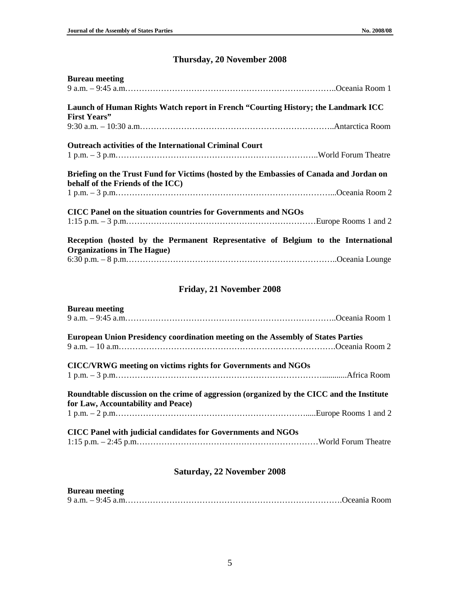# **Thursday, 20 November 2008**

| <b>Bureau meeting</b>                                          |                                                                                         |
|----------------------------------------------------------------|-----------------------------------------------------------------------------------------|
|                                                                |                                                                                         |
|                                                                | Launch of Human Rights Watch report in French "Courting History; the Landmark ICC       |
| <b>First Years''</b>                                           |                                                                                         |
|                                                                |                                                                                         |
| <b>Outreach activities of the International Criminal Court</b> |                                                                                         |
|                                                                |                                                                                         |
| behalf of the Friends of the ICC)                              | Briefing on the Trust Fund for Victims (hosted by the Embassies of Canada and Jordan on |
|                                                                |                                                                                         |
| CICC Panel on the situation countries for Governments and NGOs |                                                                                         |
|                                                                |                                                                                         |
|                                                                | Reception (hosted by the Permanent Representative of Belgium to the International       |
| <b>Organizations in The Hague)</b>                             |                                                                                         |
|                                                                |                                                                                         |

## **Friday, 21 November 2008**

| <b>Bureau meeting</b>                                                                     |  |
|-------------------------------------------------------------------------------------------|--|
|                                                                                           |  |
| <b>European Union Presidency coordination meeting on the Assembly of States Parties</b>   |  |
|                                                                                           |  |
| CICC/VRWG meeting on victims rights for Governments and NGOs                              |  |
|                                                                                           |  |
| Roundtable discussion on the crime of aggression (organized by the CICC and the Institute |  |
| for Law, Accountability and Peace)                                                        |  |
|                                                                                           |  |
| CICC Panel with judicial candidates for Governments and NGOs                              |  |
|                                                                                           |  |
|                                                                                           |  |

# **Saturday, 22 November 2008**

# **Bureau meeting**

|--|--|--|